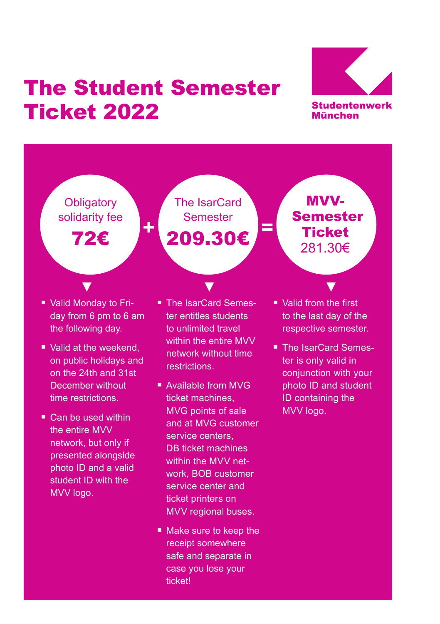## The Student Semester Ticket 2022



**Obligatory** solidarity fee

72€

The IsarCard Semester 209.30€  $\frac{1}{2}$   $\frac{1}{2}$   $\frac{1}{2}$   $\frac{1}{2}$   $\frac{1}{2}$   $\frac{1}{2}$   $\frac{1}{2}$   $\frac{1}{2}$   $\frac{1}{2}$   $\frac{1}{2}$   $\frac{1}{2}$   $\frac{1}{2}$   $\frac{1}{2}$   $\frac{1}{2}$   $\frac{1}{2}$   $\frac{1}{2}$   $\frac{1}{2}$   $\frac{1}{2}$   $\frac{1}{2}$   $\frac{1}{2}$   $\frac{1}{2}$   $\frac{1}{2}$ 

MVV- Semester **Ticket** 281.30€

- Valid Monday to Friday from 6 pm to 6 am the following day.
- Valid at the weekend. on public holidays and on the 24th and 31st December without time restrictions.
- Can be used within the entire MVV network, but only if presented alongside photo ID and a valid student ID with the MVV logo.
- The IsarCard Semester entitles students to unlimited travel within the entire MVV network without time **restrictions**

 $\blacksquare$   $\blacksquare$   $\blacksquare$   $\blacksquare$   $\blacksquare$   $\blacksquare$   $\blacksquare$   $\blacksquare$   $\blacksquare$   $\blacksquare$   $\blacksquare$   $\blacksquare$   $\blacksquare$   $\blacksquare$   $\blacksquare$   $\blacksquare$   $\blacksquare$   $\blacksquare$   $\blacksquare$   $\blacksquare$   $\blacksquare$   $\blacksquare$   $\blacksquare$   $\blacksquare$   $\blacksquare$   $\blacksquare$   $\blacksquare$   $\blacksquare$   $\blacksquare$   $\blacksquare$   $\blacksquare$   $\blacks$ 

- Available from MVG ticket machines, MVG points of sale and at MVG customer service centers, DB ticket machines within the MVV network, BOB customer service center and ticket printers on MVV regional buses.
- Make sure to keep the receipt somewhere safe and separate in case you lose your ticket!
- Valid from the first to the last day of the respective semester.
- The IsarCard Semester is only valid in conjunction with your photo ID and student ID containing the MVV logo.